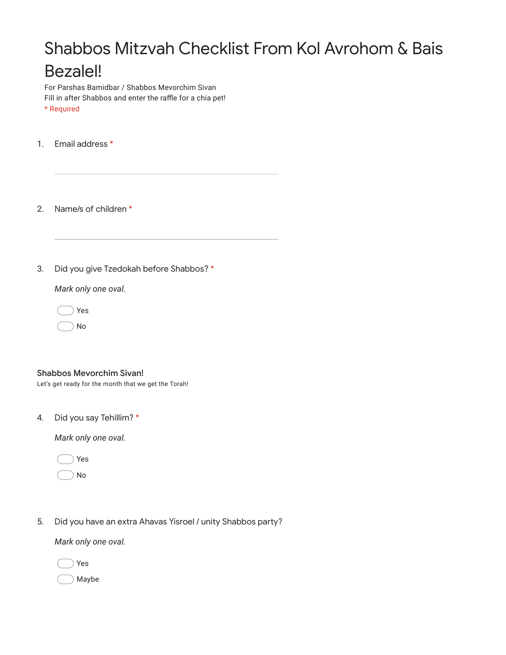## Shabbos Mitzvah Checklist From Kol Avrohom & Bais Bezalel!

For Parshas Bamidbar / Shabbos Mevorchim Sivan Fill in after Shabbos and enter the raffle for a chia pet! \* Required

1. Email address \*

2. Name/s of children \*

3. Did you give Tzedokah before Shabbos? \*

*Mark only one oval.*

Yes

No



| <b>Shabbos Mevorchim Sivan!</b> |  |
|---------------------------------|--|
|                                 |  |

Let's get ready for the month that we get the Torah!

4. Did you say Tehillim? \*

*Mark only one oval.*

Yes

No

5. Did you have an extra Ahavas Yisroel / unity Shabbos party?

*Mark only one oval.*

Yes

Maybe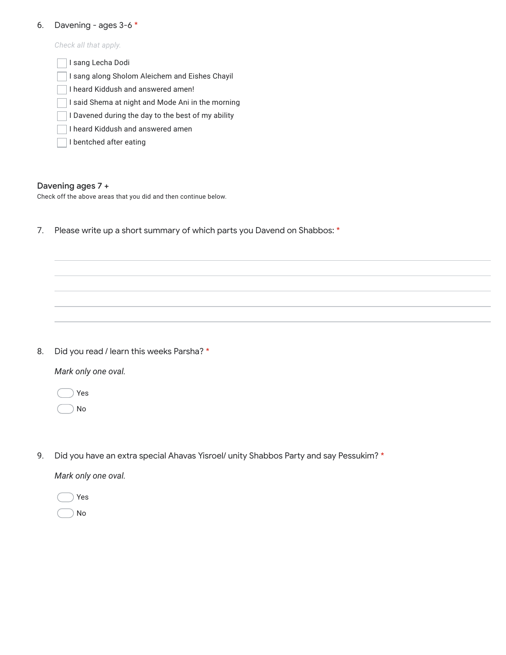## 6. Davening - ages 3-6 \*

*Check all that apply.*

| I sang Lecha Dodi                                  |  |  |  |  |
|----------------------------------------------------|--|--|--|--|
| I sang along Sholom Aleichem and Eishes Chayil     |  |  |  |  |
| I heard Kiddush and answered amen!                 |  |  |  |  |
| I said Shema at night and Mode Ani in the morning  |  |  |  |  |
| I Davened during the day to the best of my ability |  |  |  |  |
| I heard Kiddush and answered amen                  |  |  |  |  |
| I bentched after eating                            |  |  |  |  |

## Davening ages 7 +

Check off the above areas that you did and then continue below.

7. Please write up a short summary of which parts you Davend on Shabbos: \*

8. Did you read / learn this weeks Parsha? \*

*Mark only one oval.*

|  | 'es |
|--|-----|
|  | o   |

9. Did you have an extra special Ahavas Yisroel/ unity Shabbos Party and say Pessukim? \*

*Mark only one oval.*

Yes No